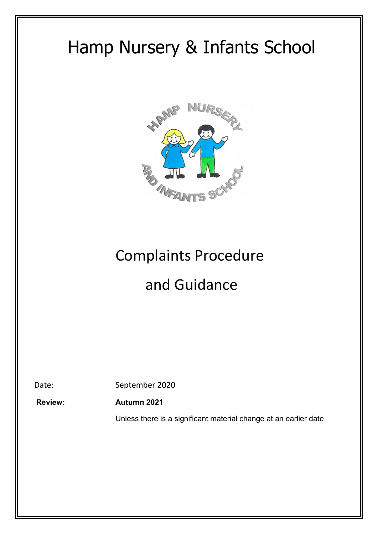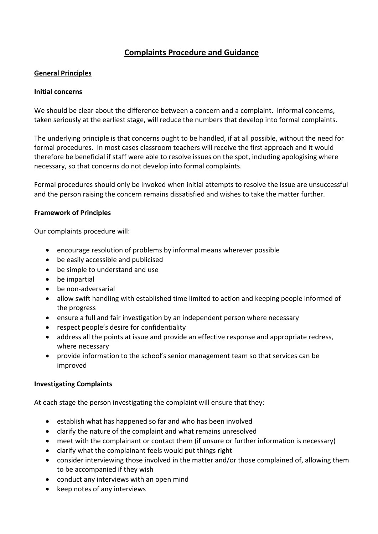# Complaints Procedure and Guidance

### General Principles

### Initial concerns

We should be clear about the difference between a concern and a complaint. Informal concerns, taken seriously at the earliest stage, will reduce the numbers that develop into formal complaints.

The underlying principle is that concerns ought to be handled, if at all possible, without the need for formal procedures. In most cases classroom teachers will receive the first approach and it would therefore be beneficial if staff were able to resolve issues on the spot, including apologising where necessary, so that concerns do not develop into formal complaints.

Formal procedures should only be invoked when initial attempts to resolve the issue are unsuccessful and the person raising the concern remains dissatisfied and wishes to take the matter further.

### Framework of Principles

Our complaints procedure will:

- encourage resolution of problems by informal means wherever possible
- be easily accessible and publicised
- be simple to understand and use
- be impartial
- be non-adversarial
- allow swift handling with established time limited to action and keeping people informed of the progress
- ensure a full and fair investigation by an independent person where necessary
- respect people's desire for confidentiality
- address all the points at issue and provide an effective response and appropriate redress, where necessary
- provide information to the school's senior management team so that services can be improved

# Investigating Complaints

At each stage the person investigating the complaint will ensure that they:

- **•** establish what has happened so far and who has been involved
- clarify the nature of the complaint and what remains unresolved
- meet with the complainant or contact them (if unsure or further information is necessary)
- clarify what the complainant feels would put things right
- consider interviewing those involved in the matter and/or those complained of, allowing them to be accompanied if they wish
- conduct any interviews with an open mind
- keep notes of any interviews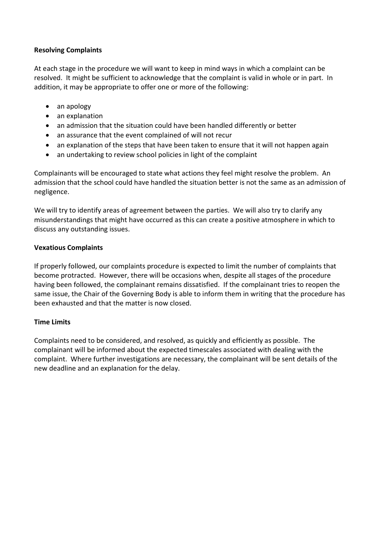### Resolving Complaints

At each stage in the procedure we will want to keep in mind ways in which a complaint can be resolved. It might be sufficient to acknowledge that the complaint is valid in whole or in part. In addition, it may be appropriate to offer one or more of the following:

- an apology
- an explanation
- an admission that the situation could have been handled differently or better
- an assurance that the event complained of will not recur
- an explanation of the steps that have been taken to ensure that it will not happen again
- an undertaking to review school policies in light of the complaint

Complainants will be encouraged to state what actions they feel might resolve the problem. An admission that the school could have handled the situation better is not the same as an admission of negligence.

We will try to identify areas of agreement between the parties. We will also try to clarify any misunderstandings that might have occurred as this can create a positive atmosphere in which to discuss any outstanding issues.

### Vexatious Complaints

If properly followed, our complaints procedure is expected to limit the number of complaints that become protracted. However, there will be occasions when, despite all stages of the procedure having been followed, the complainant remains dissatisfied. If the complainant tries to reopen the same issue, the Chair of the Governing Body is able to inform them in writing that the procedure has been exhausted and that the matter is now closed.

# Time Limits

Complaints need to be considered, and resolved, as quickly and efficiently as possible. The complainant will be informed about the expected timescales associated with dealing with the complaint. Where further investigations are necessary, the complainant will be sent details of the new deadline and an explanation for the delay.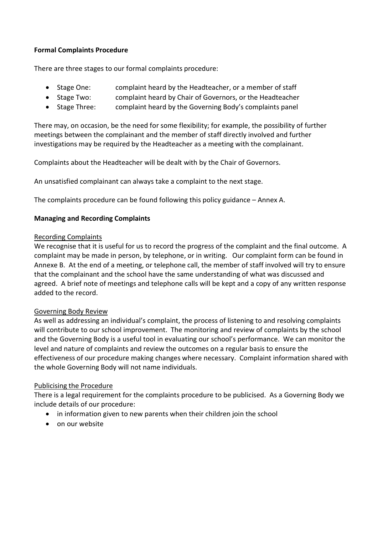# Formal Complaints Procedure

There are three stages to our formal complaints procedure:

- Stage One: complaint heard by the Headteacher, or a member of staff
- Stage Two: complaint heard by Chair of Governors, or the Headteacher
- Stage Three: complaint heard by the Governing Body's complaints panel

There may, on occasion, be the need for some flexibility; for example, the possibility of further meetings between the complainant and the member of staff directly involved and further investigations may be required by the Headteacher as a meeting with the complainant.

Complaints about the Headteacher will be dealt with by the Chair of Governors.

An unsatisfied complainant can always take a complaint to the next stage.

The complaints procedure can be found following this policy guidance – Annex A.

# Managing and Recording Complaints

### Recording Complaints

We recognise that it is useful for us to record the progress of the complaint and the final outcome. A complaint may be made in person, by telephone, or in writing. Our complaint form can be found in Annexe B. At the end of a meeting, or telephone call, the member of staff involved will try to ensure that the complainant and the school have the same understanding of what was discussed and agreed. A brief note of meetings and telephone calls will be kept and a copy of any written response added to the record.

# Governing Body Review

As well as addressing an individual's complaint, the process of listening to and resolving complaints will contribute to our school improvement. The monitoring and review of complaints by the school and the Governing Body is a useful tool in evaluating our school's performance. We can monitor the level and nature of complaints and review the outcomes on a regular basis to ensure the effectiveness of our procedure making changes where necessary. Complaint information shared with the whole Governing Body will not name individuals.

# Publicising the Procedure

There is a legal requirement for the complaints procedure to be publicised. As a Governing Body we include details of our procedure:

- in information given to new parents when their children join the school
- on our website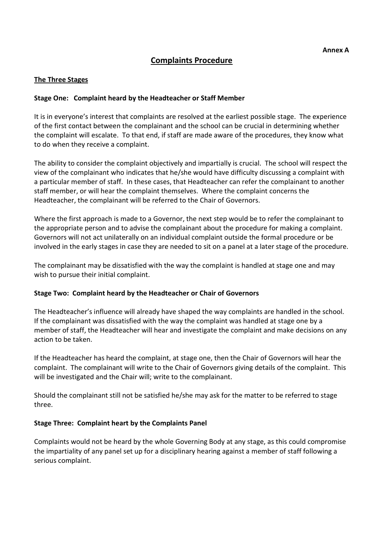# Complaints Procedure

### The Three Stages

### Stage One: Complaint heard by the Headteacher or Staff Member

It is in everyone's interest that complaints are resolved at the earliest possible stage. The experience of the first contact between the complainant and the school can be crucial in determining whether the complaint will escalate. To that end, if staff are made aware of the procedures, they know what to do when they receive a complaint.

The ability to consider the complaint objectively and impartially is crucial. The school will respect the view of the complainant who indicates that he/she would have difficulty discussing a complaint with a particular member of staff. In these cases, that Headteacher can refer the complainant to another staff member, or will hear the complaint themselves. Where the complaint concerns the Headteacher, the complainant will be referred to the Chair of Governors.

Where the first approach is made to a Governor, the next step would be to refer the complainant to the appropriate person and to advise the complainant about the procedure for making a complaint. Governors will not act unilaterally on an individual complaint outside the formal procedure or be involved in the early stages in case they are needed to sit on a panel at a later stage of the procedure.

The complainant may be dissatisfied with the way the complaint is handled at stage one and may wish to pursue their initial complaint.

#### Stage Two: Complaint heard by the Headteacher or Chair of Governors

The Headteacher's influence will already have shaped the way complaints are handled in the school. If the complainant was dissatisfied with the way the complaint was handled at stage one by a member of staff, the Headteacher will hear and investigate the complaint and make decisions on any action to be taken.

If the Headteacher has heard the complaint, at stage one, then the Chair of Governors will hear the complaint. The complainant will write to the Chair of Governors giving details of the complaint. This will be investigated and the Chair will; write to the complainant.

Should the complainant still not be satisfied he/she may ask for the matter to be referred to stage three.

#### Stage Three: Complaint heart by the Complaints Panel

Complaints would not be heard by the whole Governing Body at any stage, as this could compromise the impartiality of any panel set up for a disciplinary hearing against a member of staff following a serious complaint.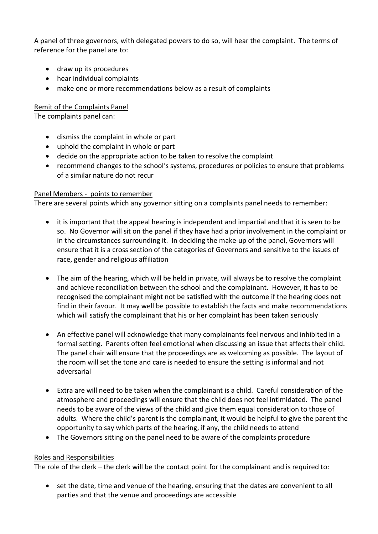A panel of three governors, with delegated powers to do so, will hear the complaint. The terms of reference for the panel are to:

- draw up its procedures
- hear individual complaints
- make one or more recommendations below as a result of complaints

# Remit of the Complaints Panel

The complaints panel can:

- dismiss the complaint in whole or part
- uphold the complaint in whole or part
- decide on the appropriate action to be taken to resolve the complaint
- recommend changes to the school's systems, procedures or policies to ensure that problems of a similar nature do not recur

# Panel Members - points to remember

There are several points which any governor sitting on a complaints panel needs to remember:

- it is important that the appeal hearing is independent and impartial and that it is seen to be so. No Governor will sit on the panel if they have had a prior involvement in the complaint or in the circumstances surrounding it. In deciding the make-up of the panel, Governors will ensure that it is a cross section of the categories of Governors and sensitive to the issues of race, gender and religious affiliation
- The aim of the hearing, which will be held in private, will always be to resolve the complaint and achieve reconciliation between the school and the complainant. However, it has to be recognised the complainant might not be satisfied with the outcome if the hearing does not find in their favour. It may well be possible to establish the facts and make recommendations which will satisfy the complainant that his or her complaint has been taken seriously
- An effective panel will acknowledge that many complainants feel nervous and inhibited in a formal setting. Parents often feel emotional when discussing an issue that affects their child. The panel chair will ensure that the proceedings are as welcoming as possible. The layout of the room will set the tone and care is needed to ensure the setting is informal and not adversarial
- Extra are will need to be taken when the complainant is a child. Careful consideration of the atmosphere and proceedings will ensure that the child does not feel intimidated. The panel needs to be aware of the views of the child and give them equal consideration to those of adults. Where the child's parent is the complainant, it would be helpful to give the parent the opportunity to say which parts of the hearing, if any, the child needs to attend
- The Governors sitting on the panel need to be aware of the complaints procedure

# Roles and Responsibilities

The role of the clerk – the clerk will be the contact point for the complainant and is required to:

• set the date, time and venue of the hearing, ensuring that the dates are convenient to all parties and that the venue and proceedings are accessible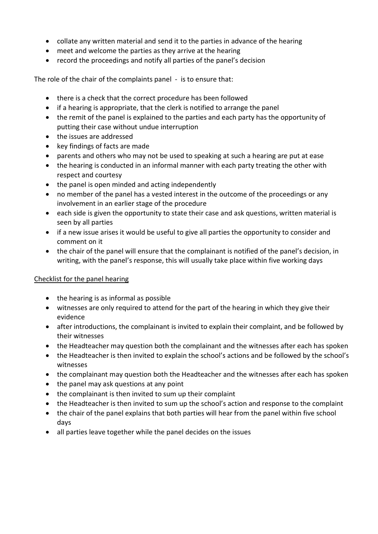- collate any written material and send it to the parties in advance of the hearing
- meet and welcome the parties as they arrive at the hearing
- record the proceedings and notify all parties of the panel's decision

The role of the chair of the complaints panel - is to ensure that:

- there is a check that the correct procedure has been followed
- if a hearing is appropriate, that the clerk is notified to arrange the panel
- the remit of the panel is explained to the parties and each party has the opportunity of putting their case without undue interruption
- the issues are addressed
- key findings of facts are made
- parents and others who may not be used to speaking at such a hearing are put at ease
- the hearing is conducted in an informal manner with each party treating the other with respect and courtesy
- the panel is open minded and acting independently
- no member of the panel has a vested interest in the outcome of the proceedings or any involvement in an earlier stage of the procedure
- each side is given the opportunity to state their case and ask questions, written material is seen by all parties
- if a new issue arises it would be useful to give all parties the opportunity to consider and comment on it
- the chair of the panel will ensure that the complainant is notified of the panel's decision, in writing, with the panel's response, this will usually take place within five working days

# Checklist for the panel hearing

- the hearing is as informal as possible
- witnesses are only required to attend for the part of the hearing in which they give their evidence
- after introductions, the complainant is invited to explain their complaint, and be followed by their witnesses
- the Headteacher may question both the complainant and the witnesses after each has spoken
- the Headteacher is then invited to explain the school's actions and be followed by the school's witnesses
- the complainant may question both the Headteacher and the witnesses after each has spoken
- the panel may ask questions at any point
- the complainant is then invited to sum up their complaint
- the Headteacher is then invited to sum up the school's action and response to the complaint
- the chair of the panel explains that both parties will hear from the panel within five school days
- all parties leave together while the panel decides on the issues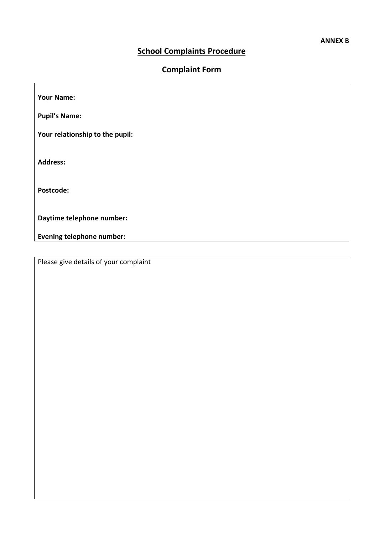٦

# School Complaints Procedure

# Complaint Form

| <b>Your Name:</b>                |  |
|----------------------------------|--|
| <b>Pupil's Name:</b>             |  |
| Your relationship to the pupil:  |  |
| <b>Address:</b>                  |  |
| Postcode:                        |  |
| Daytime telephone number:        |  |
| <b>Evening telephone number:</b> |  |

Please give details of your complaint